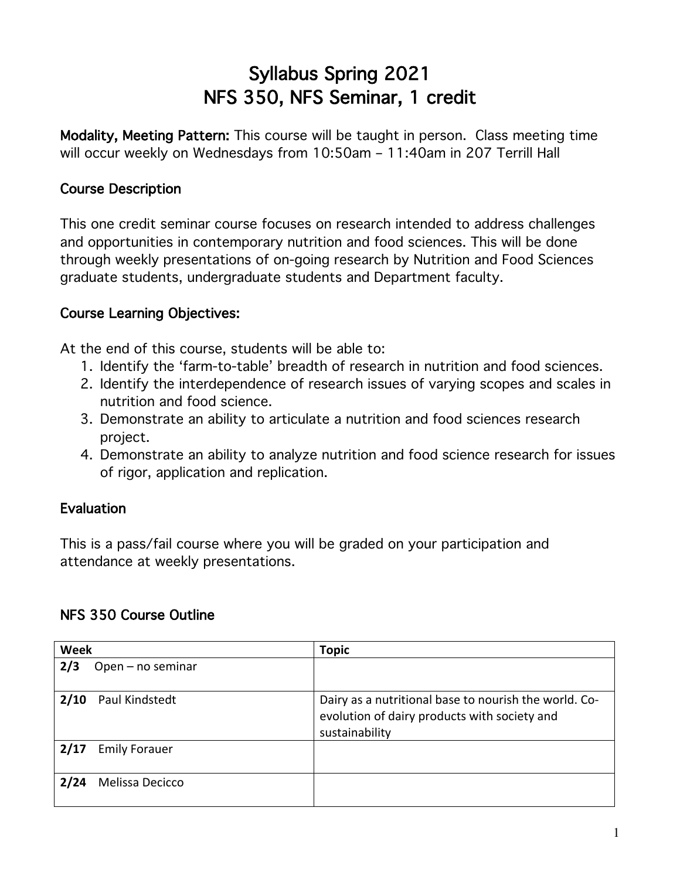# Syllabus Spring 2021 NFS 350, NFS Seminar, 1 credit

Modality, Meeting Pattern: This course will be taught in person. Class meeting time will occur weekly on Wednesdays from 10:50am – 11:40am in 207 Terrill Hall

### Course Description

This one credit seminar course focuses on research intended to address challenges and opportunities in contemporary nutrition and food sciences. This will be done through weekly presentations of on-going research by Nutrition and Food Sciences graduate students, undergraduate students and Department faculty.

#### Course Learning Objectives:

At the end of this course, students will be able to:

- 1. Identify the 'farm-to-table' breadth of research in nutrition and food sciences.
- 2. Identify the interdependence of research issues of varying scopes and scales in nutrition and food science.
- 3. Demonstrate an ability to articulate a nutrition and food sciences research project.
- 4. Demonstrate an ability to analyze nutrition and food science research for issues of rigor, application and replication.

## Evaluation

This is a pass/fail course where you will be graded on your participation and attendance at weekly presentations.

#### NFS 350 Course Outline

| <b>Week</b>                  | <b>Topic</b>                                                                                                            |
|------------------------------|-------------------------------------------------------------------------------------------------------------------------|
| 2/3<br>Open - no seminar     |                                                                                                                         |
| 2/10<br>Paul Kindstedt       | Dairy as a nutritional base to nourish the world. Co-<br>evolution of dairy products with society and<br>sustainability |
| 2/17<br><b>Emily Forauer</b> |                                                                                                                         |
| Melissa Decicco<br>2/24      |                                                                                                                         |